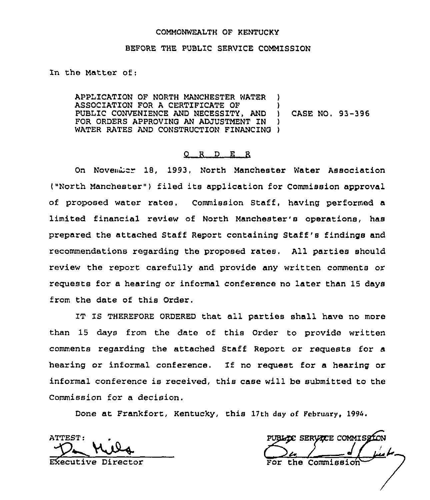#### COMMONWEALTH OF KENTUCKY

## BEFORE THE PUBLIC SERVICE COMMISSION

In the Matter of:

APPLICATION OF NORTH MANCHESTER WATER ASSOCIATION FOR A CERTIFICATE OF  $\rightarrow$  PUBLIC CONVENIENCE AND NECESSITY, AND  $\rightarrow$  CASE NO. 93-396 PUBLIC CONVENIENCE AND NECESSITY, AND )<br>FOR ORDERS APPROVING AN ADJUSTMENT IN ) FOR ORDERS APPROVING AN ADJUSTMENT IN WATER RATES AND CONSTRUCTION FINANCING )

## 0 R <sup>D</sup> E R

On November 18, 1993, North Manchester Water Association ("North Manchester"} filed its application for Commission approval of proposed water rates. Commission Staff, having performed a limited financial review of North Manchester's operations, has prepared the attached Staff Report containing Staff's findings and recommendations regarding the proposed rates. All parties should review the report carefully and provide any written comments 07 requests for a hearing or informal conference no later than 15 days from the date of this Order.

IT IS THEREFORE ORDERED that all parties shall have no more than 15 days from the date of this Order to provide written comments regarding the attached Staff Report or requests for a hearing or informal conference. If no request for a hearing or informal conference is received, this case will be submitted to the Commission for a decision.

Done at Frankfort, Kentucky, this 17th day of February, 1994.

ATTEST:<br>Demanda<br>Executive Director

PUBLICE SERVICE COMMISSIO the Commission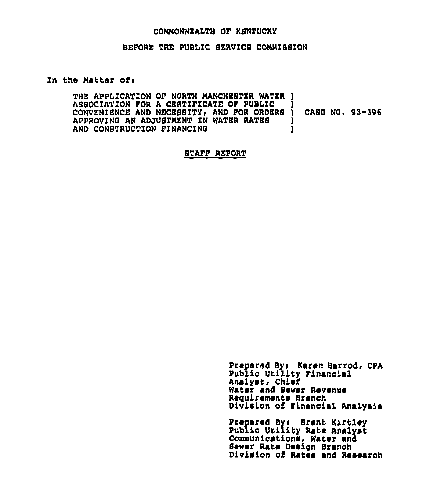#### CONNONWEALTH OF KENTUCKY

## BEFORE THE PUBLIC SERVICE COMMISSION

#### In the Matter of:

THE APPLICATION OF NORTH MANCHESTER WATER ) ASSOCIATION FOR A CERTIFICATE OF PUBLIC CONVENIENCE AND NECESSITY, AND FOR ORDERS ) CASE NO. 93-396 APPROVING AN ADJUSTMENT IN WATER RATES ı AND CONSTRUCTION FINANCING ١

## STAFF REPORT

Prepared By: Karen Harrod, CPA Public Utility Financial Analyst, Chief Water and Sewar Revenue Requirements Branch Division of Financial Analysis

Prepared By: Brent Kirtley Public Utility Rate Analyst Communications, Water and Sewer Rate Design Branch Division of Rates and Research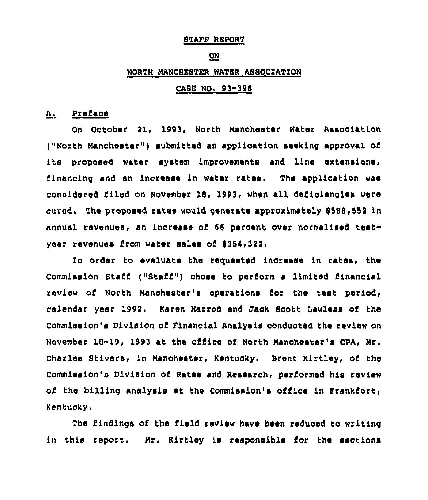#### STAFF REPORT

## ON

## NORTH NANCHESTER WATER ASSOCIATION

# CASE NO. 93-396

# A. Preface

On October Ql, 1993, North Nanohester Water Association ("North Manchester") submitted an application seeking approval of its proposed water system improvements and line extensions, financing and an increase in water rates. The application was considered filed on November 18, 1993, when all deficiencies were cured, The proposed rates would generate approximately 8588,552 in annual revenues, an increase of 66 percent over normalized testyear revenues from water sales of \$354,322.

In order to evaluate the requested increase in rates, the Commission Staff ("Staff") chose to perform a limited financial review of North Nanchester's operations for the teat period, calendar year 1992. Karen Harrod and Jack Scott Lawless of the Commission's Division of Financial Analysis conducted the review on November 18-19, 1993 at the office of North Manchester's CPA, Mr. Charles Stivers, in Manchester, Kentucky. Brent Kirtley, of the Commission's Division of Rates and Researoh, performed his review of the billing analysis at the Commission's office in Frankfort, Kentucky.

The findings of the field review have been reduced to writing in this report. Hr. Kirtley is responsible for the sections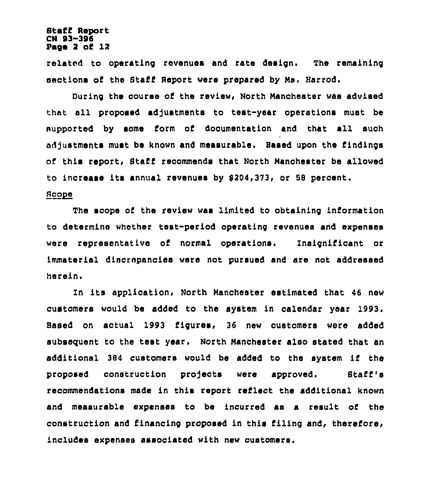## Staff Report CN 93-395 Page 2 oC 12

related to operating revenues and rate design. The remaining sections of the Staff RePort were prepared by Hs, Harrod.

During the course of the review, North Manchester was advised that all proposed adjustments to test-year operations must be supported by some form of documentation and that all such adjustments must be known and measurable. Based upon the Cindings of this report, Staff recommends that North Nanchester be allowed to increase its annual revenues by \$204,373, or 58 percent.

## Scope

The scope of the review was limited to obtaining information to determine whether test-period operating revenues and expenses were representative oi normal operations, Insignificant or immaterial discrepancies were not pursued and are not addressed herein,

In its application, North Manchester estimated that 46 new customers would be added to the system in calendar year 1993. Based on actual 1993 figures, 36 new customers were added subsequent to the test year. North Nanchester also stated that an additional <sup>384</sup> customers would be added to the system if the proposed construction projects were approved. Staff's recommendations made in this report reClect the additional known and measurable expenses to be incurred as a result oC the construction and financing proposed in this filing and, therefore, includes expenses associated with new customers.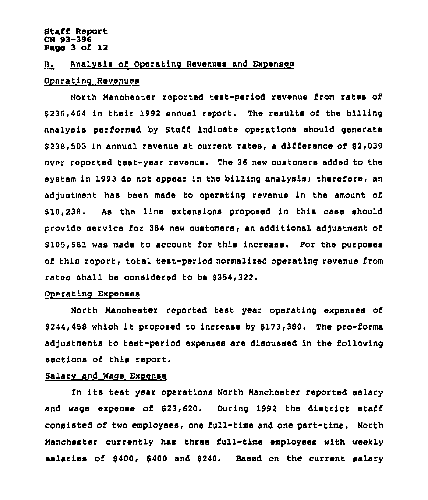## Staff Report CN 93-396 Page 3 of 12

#### B. Analysis of Operating Revenues and Expenses

## Operating Revenues

North Manchester reported test-period revenue from rates of \$ 236,464 in their 1992 annual report. The results of the billing nnalysis performed by Staff indicate operations should generate \$238,503 in annual revenue at current rates, a difference of \$2,039 ovnr reported test-year revenue. The 36 new customers added to the system in 1993 do not appear in the billing analysis; therefore, an adjustment <mark>has been made to operating revenue in the amount of</mark> system in 1998 do not appear in the billing analysis, therefore, a<br>adjustment has been made to operating revenue in the amount o<br>\$10,238. As the line extensions proposed in this case shoul provide service for 384 new customers, an additional adjustment of \$ 105,581 was made to account for this increase. For the purposes of thin rcport, total test-period normalised operating revenue Crom rates shall be considered to be \$354,322.

## Operating Expenses

North Manchester reported test year operating expenses of \$ 244,458 which it proposed to increase by \$173,380. The pro-forms adjustments to test-period expenses are discussed in the following sections of this report.

#### Balarv and Wage Expense

In its test year operations North Manchester reported salary and wage expense of \$23,620. During 1992 the district staff consisted of two employees, one full-time and one part-time. North Nanchester currently has three full-time employees with weekly salaries of \$400, \$400 and \$240. Based on the current salary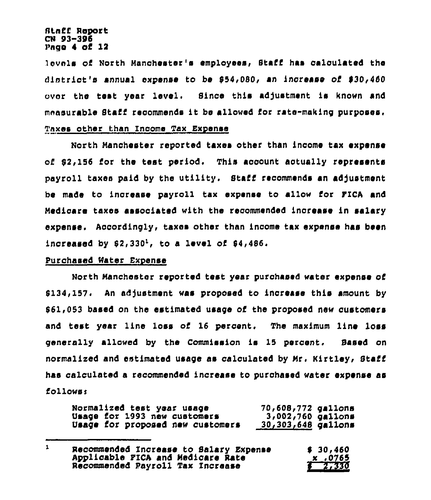#### Staff Report CN 93-396 Pngo 4 of 12

lovels of North Manchester's employees, Staff has calculated the district's annual expense to be 854,0SO, an increase of 830,460 over the test year level. Since this adjustment is known and moasurable Staff recommends it be allowed for rate-making purposes. Tnxes other than Income Tax Expense

North Manchester reported taxes other than income Cax expense of  $92,156$  for the test period. This account actually represents payroll taxes paid by the utility. Staff recommends an adjustment be made to increase payroll tax expense to allow for FICA and Medicare taxes assooiated with the recommended increase in salary expense. Accordingly, taxes other than income tax expense has been increased by  $$2,330<sup>1</sup>$ , to a level of  $$4,486$ .

## Purchased Water Expense

North Manchester reported test year purchased water expense oi 8134,157. An adjustment was proposed to increase this amount by 861,053 based on the estimated usage of the proposed new customers and teat year line loss of 16 percent. The maximum line loss generally allowed by the Commission is 15 percent. Eased on normalized and estimated usage as calculated by Mr, Rirtley, Staff has calculated a recommended increase to purchased water expense as follower

| Normalized test year usage       | 70,608,772 gallons |  |
|----------------------------------|--------------------|--|
| Usage for 1993 new customers     | 3,002,760 gallons  |  |
| Usage for proposed new customers | 30,303,648 gallons |  |

 $\mathbf{1}$ Recommended Increase to Salary Expense 30,460<br>Applicable FICA and Medicare Rate 30 165 Applicable FICA and Medicare Rate Recommended Payroll Tax Increase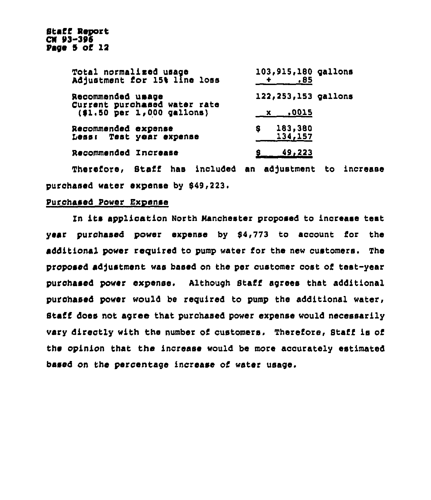| Total normalized usage<br>Adjustment for 15% line loss                          | 103,915,180 gallons<br>$+$ .85 |
|---------------------------------------------------------------------------------|--------------------------------|
| Recommended usage<br>Current purchased water rate<br>(\$1.50 per 1,000 gallons) | 122, 253, 153 gallons          |
|                                                                                 | x .0015                        |
| Recommended expense<br>Less: Test year expense                                  | 183,380<br>\$.<br>134,157      |
| Recommended Increase                                                            | $6$ 49,223                     |

Therefore, Staff has included an adjustment to increase purchased water expense by 649,223.

## Purchased Power Expense

In its application North Manchester proposed to increase test year purchased power expense by 54,773 to account for the additional power required to pump water for the new customers. The proposed adjustment was based on the per customer cost of test-year purchased Power expense. Although Staff agrees that additional purchased power would be required to pump the additional water, Staff does not agree that purchased power expense would necessarily vary directly with the number of customers. Therefore, Staff is of the opinion that the increase would be more accurately estimated based on the percentage increase of water usage.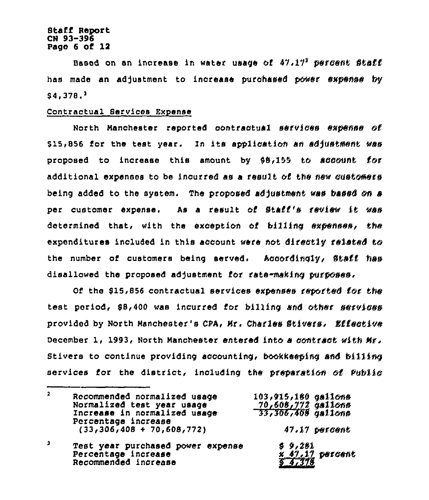## **Staff Report** CN 93-396 Page 6 of 12

Based on an increase in water usage of  $47.17^2$  persent Staff has made an adjustment to increase purchased power expense by  $$4.378.<sup>3</sup>$ 

## Contractual Services Expense

Recommended increase

North Manchester reported contractual services expense of \$15,856 for the test year. In its application an adjustment was proposed to increase this amount by \$8,155 to account for additional expenses to be incurred as a result of the new customers being added to the system. The proposed adjustment was based on a per customer expense. As a result of Staff's review it was determined that, with the exception of billing expenses, the expenditures included in this account were not directly related to the number of customers being served. Accordingly, Staff has disallowed the proposed adjustment for rate-making purposes.

Of the \$15,856 contractual services expenses reported for the test period, \$8,400 was incurred for billing and other services provided by North Manchester's CPA, Mr. Charles Stivers, Effective December 1, 1993, North Manchester entered into a contract with Mr. Stivers to continue providing accounting, bookkeeping and billing services for the district, including the preparation of Public

| $\mathbf{z}$ | Recommended normalized usage<br>Normalized test year usage<br>Increase in normalized usage | 103,915,180 gallons<br>70,608,772 gallons<br>33,306,408 gallons |  |
|--------------|--------------------------------------------------------------------------------------------|-----------------------------------------------------------------|--|
|              | Percentage increase<br>$(33,306,408 + 70,608,772)$                                         | 47.17 percent                                                   |  |
|              | Test year purchased power expense<br>Percentage increase                                   | \$9,281<br>$x$ 47.17 percent                                    |  |

4,378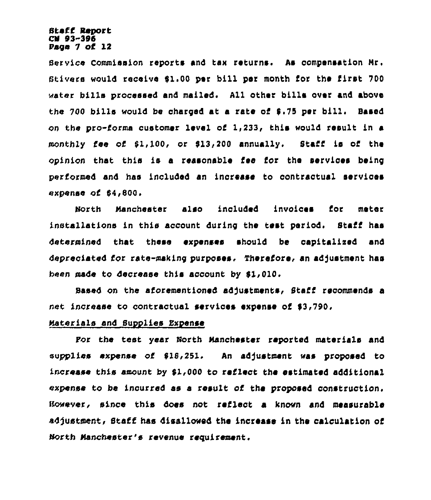## Staff Report CN 93-396 Page 7 of 12

Service Commission reports and tax returns. As compensation Mr <sup>~</sup> Stivers would receive 61.00 per bill per month for the first 700 water bills processed and mailed. All other bills over and above the 700 bills would be charged at a rate of  $$.75$  per bill. Based on the pro-forma customer level of  $1,233$ , this would result in a monthly fee of \$1,100, or \$13,200 annually. Staff is of the opinion that this is a reasonable fee for the services being performed and has included an increase to oontractual services expense of 64,800.

North Manchester also included invoices for meter installations in this account during the test period. Staff has determined that these expenses should be capitalixed and depreciated for rate-making purposes, Therefore< an adjustment has been made to decrease this account by 51,010.

Based on the aforementioned adjustments, Staff recommends a net increase to contractual services expense of \$3,790.

# Materials and Supplies Expense

For the test year North Manchester reported materials and supplies expense of \$18,251. An adjustment was proposed to increase this amount by  $$1,000$  to reflect the estimated additional expense to be incurred as a result of the proposed construction. Sawever, since this does not reflect a known and measurable adjustment, Staff has disallowed the increase in the calculation of North Manchester's revenue requirement.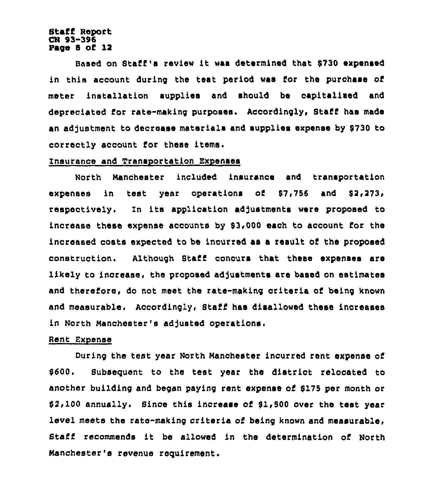## Staff Rsyort CN S3-306 Page 8 of 12

Based on Staff's review it waa determined that \$<sup>730</sup> expansad in this account during the test period was for the purchase of mater installation supplies and should be capitalixed and depreciated for rata-making purposes. Accordingly, Staff has made an adjustment to decrease materials and supplies expense by \$730 to correctly account for these items.

## Insurance and Transoortation Expanses

North Manchester included insurance and transyortation expenses in test year operations of \$7,756 and \$2,273, respectively. In its application adjustments were proposed to increase these expanse accounts by 53,000 each to account for the increased costa expected to bs incurred as a result oi the proposed construction. Although Staff concurs that these expenses are likely to increase, the proposed adjustments are based on estimates and therefore, do not meet the rate-making criteria of being known and measurable. Accordingly, Staff has disallowed these increase in North Manchester's adjusted operations.

## Rent Expense

During the test year North Manchester incurred rent expense of 5600, Subseguent to the test year tha district relocated to another building and began paying rent expense of 5175 per month or 52,100 annually. Since this increase of 51,500 over ths test year level meets the rate-making criteria of heing known and measurabls, Staff recommends it be allowed in the determination of North Manchester's revenue raguirament.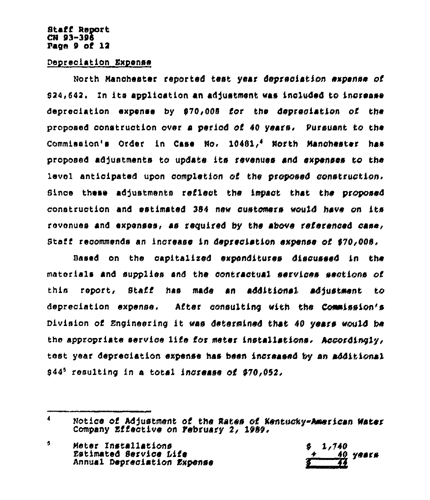## **Staff Report** CN 93-396 Page  $9$  of  $12$

## Depreciation Expense

North Manchester reported test year depreciation expense of 924,642. In its application an adjustment was included to increase depreciation expense by \$70,008 for the depreciation of the proposed construction over a period of 40 years. Pursuant to the Commission's Order in Case No. 10481.4 North Manchester has proposed adjustments to update its revenues and expenses to the level anticipated upon completion of the proposed construction, Since these adjustments reflect the impact that the proposed construction and estimated 384 new customers would have on its revenues and expenses, as required by the above referenced case, Staff recommends an increase in depreciation expense of \$70,008.

Based on the capitalized expenditures discussed in the materials and supplies and the contractual services sections of this report, Staff has made an additional adjustment to depreciation expense. After consulting with the Commission's Division of Engineering it was determined that 40 years would be the appropriate service life for meter installations. Accordingly, test year depreciation expense has been increased by an additional 944<sup>5</sup> resulting in a total increase of 970,052,

 $\blacktriangleleft$ Notice of Adjustment of the Rates of Kentucky-American Water Company Effective on February 2, 1989.

<sup>5</sup> Meter Installations Estimated Service Life Annual Depreciation Expense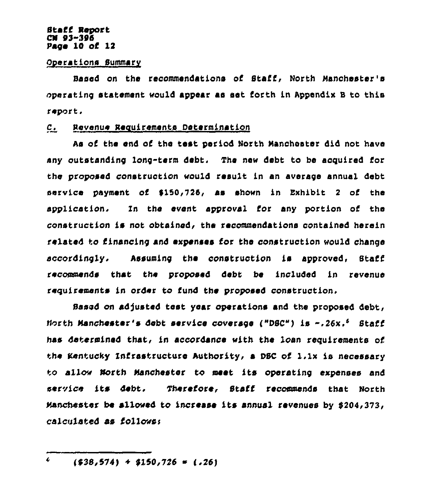## Staff Report CN 03-306 Page 10 of 12

#### Operations Summary

Based on the recommendations of Staff, North Manchester's operating statement would appear as set forth in Appendix B to this report.

## C. Revenue Requirements Determination

As of Che end of the test period North Nanohoster did not have any outstanding long-term debt. The new debt to be acquired for the proposed construction would result in an average annual debt service payment of \$150,726, as shown in Exhibit 2 of the application. In the event approval for any portion of the construction is not obtained, the recommendations contained herein related to financing and expenses for the construction would change accordingly. Assuming the construction is approved. Staff recommends Chat the proposed debt be included in revenue requirements in order to fund the proposed construction.

Based on adjusted Cest year operations and the proposed debt, North Manchester's debt service coverage i"DSC") is ".26x,~ Staff has determined Chat, in accordance «1th the loan requirements of the Kentucky Infrastructure Authority, a DBC of 1.1x is necessary to allow North Manchester to meet its operating expenses and service its debt. Therefore, Staff recommends that North manchester be allo«ed to increase its annual revenues by 6204,373, calculated as follows:

 $\overline{\mathbf{c}}$  $( $38,574) + $150,726 = (.26)$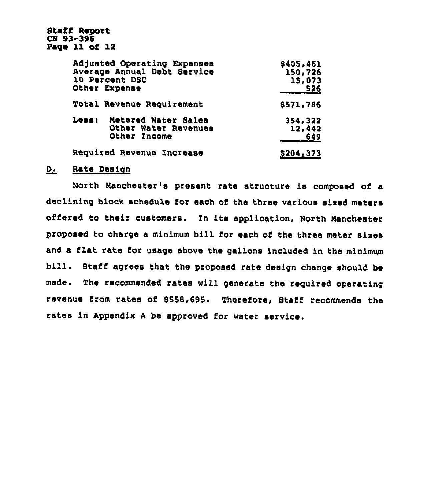Staff Report CN 93-396 Page 11 of 12

| Adjusted Operating Expenses<br>Average Annual Debt Service<br>10 Percent DSC<br>Other Expense | \$405,461<br>150,726<br>15,073<br>526 |  |
|-----------------------------------------------------------------------------------------------|---------------------------------------|--|
| Total Revenue Requirement                                                                     | \$571,786                             |  |
| Metered Water Sales<br>Less:<br>Other Water Revenues<br>Other Income                          | 354,322<br>12,442<br>649              |  |
| Required Revenue Increase                                                                     | <u>\$204,373</u>                      |  |

## D. Rate Design

North Nanchester's yresent rate structure is composed of a declining block schedule for each of the three various sized meters offered to their customers. In its application, North Manchester proposed to charge <sup>a</sup> minimum bill for each of the three meter sixes and a flat rate for usage above the gallons included in the minimum bill. Staff agrees that the proposed rate design change should be made. The recommended rates will generate the required operating revenue from rates of 555B,695. Therefore, Staff recommends the rates in Apyendix <sup>A</sup> be approved for water service.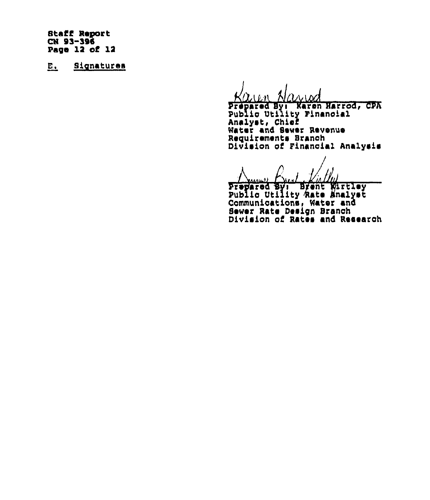**Staff Report** CN 93-396 Page 12 of 12

 $E_{\rm{L}}$ Signatures

Prepared By: Karen Harrod, CPA Analyst, Chief<br>Water and Sewer Revenue Requirements Branch<br>Division of Financial Analysis

 $\rightarrow$ 

Prepared By: Brent Wirtley<br>Public Utility Rate Analyst Communications, Water and Sewer Rate Design Branch<br>Division of Rates and Research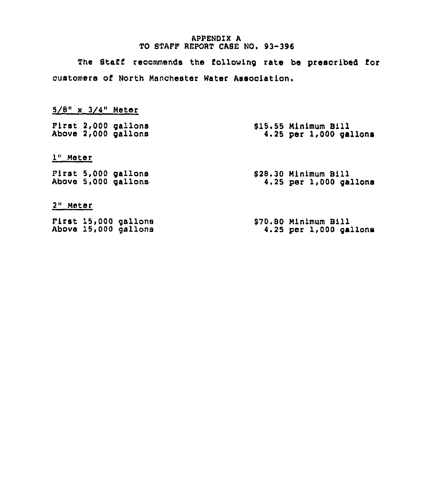## APPENDIX A TO STAFF REPORT CASE NO. 93-396

The Staff recommends the following rate be prescribed for customers of North Manchester Water Association.

| $5/8$ " x $3/4$ " Meter |                                              |                                                    |
|-------------------------|----------------------------------------------|----------------------------------------------------|
|                         | First 2,000 gallons<br>Above 2,000 gallons   | \$15.55 Minimum Bill<br>$4.25$ per 1,000 gallons   |
| $10$ Motor              |                                              |                                                    |
|                         | First 5,000 gallons<br>Above 5,000 gallons   | \$28.30 Minimum Bill<br>$4.25$ per $1,000$ gallons |
| 2" Mater                |                                              |                                                    |
|                         | First 15,000 gallons<br>Above 15,000 gallons | \$70.80 Minimum Bill<br>4.25 per 1,000 gallons     |